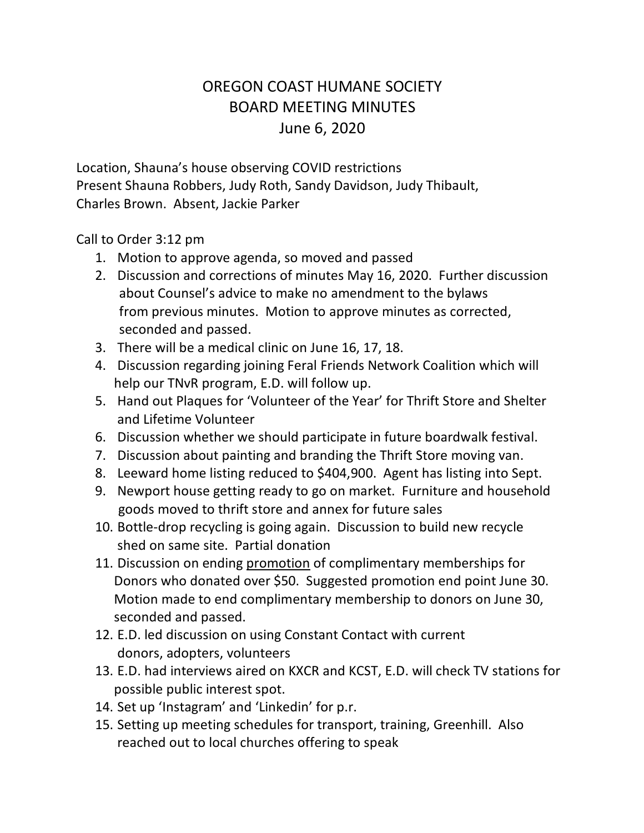## OREGON COAST HUMANE SOCIETY BOARD MEETING MINUTES June 6, 2020

Location, Shauna's house observing COVID restrictions Present Shauna Robbers, Judy Roth, Sandy Davidson, Judy Thibault, Charles Brown. Absent, Jackie Parker

Call to Order 3:12 pm

- 1. Motion to approve agenda, so moved and passed
- 2. Discussion and corrections of minutes May 16, 2020. Further discussion about Counsel's advice to make no amendment to the bylaws from previous minutes. Motion to approve minutes as corrected, seconded and passed.
- 3. There will be a medical clinic on June 16, 17, 18.
- 4. Discussion regarding joining Feral Friends Network Coalition which will help our TNvR program, E.D. will follow up.
- 5. Hand out Plaques for 'Volunteer of the Year' for Thrift Store and Shelter and Lifetime Volunteer
- 6. Discussion whether we should participate in future boardwalk festival.
- 7. Discussion about painting and branding the Thrift Store moving van.
- 8. Leeward home listing reduced to \$404,900. Agent has listing into Sept.
- 9. Newport house getting ready to go on market. Furniture and household goods moved to thrift store and annex for future sales
- 10. Bottle-drop recycling is going again. Discussion to build new recycle shed on same site. Partial donation
- 11. Discussion on ending promotion of complimentary memberships for Donors who donated over \$50. Suggested promotion end point June 30. Motion made to end complimentary membership to donors on June 30, seconded and passed.
- 12. E.D. led discussion on using Constant Contact with current donors, adopters, volunteers
- 13. E.D. had interviews aired on KXCR and KCST, E.D. will check TV stations for possible public interest spot.
- 14. Set up 'Instagram' and 'Linkedin' for p.r.
- 15. Setting up meeting schedules for transport, training, Greenhill. Also reached out to local churches offering to speak